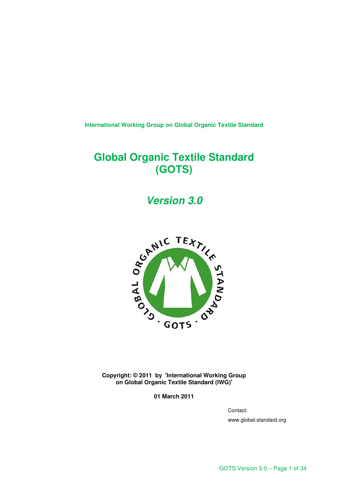**International Working Group on Global Organic Textile Standard** 

# **Global Organic Textile Standard (GOTS)**

**Version 3.0** 



**Copyright: © 2011 by 'International Working Group on Global Organic Textile Standard (IWG)'** 

**01 March 2011** 

Contact:

www.global-standard.org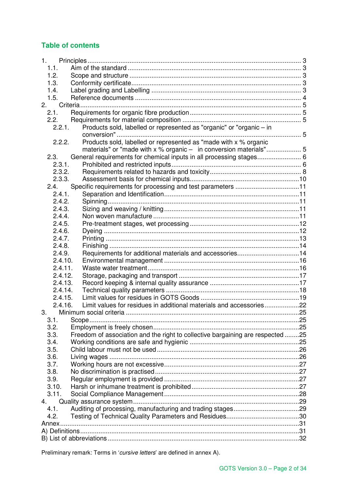## **Table of contents**

| 1.                                                                                     |  |
|----------------------------------------------------------------------------------------|--|
| 1.1.                                                                                   |  |
| 1.2.                                                                                   |  |
| 1.3.                                                                                   |  |
| 1.4.                                                                                   |  |
| 1.5.                                                                                   |  |
| 2.                                                                                     |  |
| 2.1.                                                                                   |  |
| 2.2.                                                                                   |  |
| Products sold, labelled or represented as "organic" or "organic - in<br>2.2.1.         |  |
| Products sold, labelled or represented as "made with x % organic<br>2.2.2.             |  |
| materials" or "made with x % organic - in conversion materials" 5                      |  |
| General requirements for chemical inputs in all processing stages 6<br>2.3.            |  |
| 2.3.1.                                                                                 |  |
| 2.3.2.                                                                                 |  |
| 2.3.3.                                                                                 |  |
| 2.4.                                                                                   |  |
| 2.4.1.                                                                                 |  |
| 2.4.2.                                                                                 |  |
| 2.4.3.                                                                                 |  |
| 2.4.4.                                                                                 |  |
| 2.4.5.                                                                                 |  |
| 2.4.6.                                                                                 |  |
| 2.4.7.                                                                                 |  |
| 2.4.8.                                                                                 |  |
| Requirements for additional materials and accessories14<br>2.4.9.                      |  |
| 2.4.10.                                                                                |  |
| 2.4.11.                                                                                |  |
| 2.4.12.                                                                                |  |
| 2.4.13.                                                                                |  |
| 2.4.14.                                                                                |  |
| 2.4.15.                                                                                |  |
| Limit values for residues in additional materials and accessories22<br>2.4.16.         |  |
| 3.                                                                                     |  |
|                                                                                        |  |
| 3.2.                                                                                   |  |
| Freedom of association and the right to collective bargaining are respected 25<br>3.3. |  |
| 3.4.                                                                                   |  |
| 3.5.                                                                                   |  |
| 3.6.                                                                                   |  |
| 3.7.                                                                                   |  |
| 3.8.                                                                                   |  |
| 3.9.                                                                                   |  |
| 3.10.                                                                                  |  |
| 3.11.                                                                                  |  |
| 4.                                                                                     |  |
| 4.1.                                                                                   |  |
| 4.2.                                                                                   |  |
|                                                                                        |  |
|                                                                                        |  |
|                                                                                        |  |

Preliminary remark: Terms in 'cursive letters' are defined in annex A).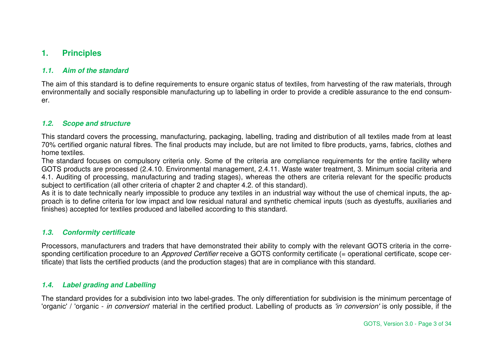# **1. Principles**

## **1.1. Aim of the standard**

The aim of this standard is to define requirements to ensure organic status of textiles, from harvesting of the raw materials, through environmentally and socially responsible manufacturing up to labelling in order to provide a credible assurance to the end consumer.

## **1.2. Scope and structure**

This standard covers the processing, manufacturing, packaging, labelling, trading and distribution of all textiles made from at least 70% certified organic natural fibres. The final products may include, but are not limited to fibre products, yarns, fabrics, clothes and home textiles.

 The standard focuses on compulsory criteria only. Some of the criteria are compliance requirements for the entire facility where GOTS products are processed (2.4.10. Environmental management, 2.4.11. Waste water treatment, 3. Minimum social criteria and 4.1. Auditing of processing, manufacturing and trading stages), whereas the others are criteria relevant for the specific products subject to certification (all other criteria of chapter 2 and chapter 4.2. of this standard).

 As it is to date technically nearly impossible to produce any textiles in an industrial way without the use of chemical inputs, the approach is to define criteria for low impact and low residual natural and synthetic chemical inputs (such as dyestuffs, auxiliaries and finishes) accepted for textiles produced and labelled according to this standard.

#### **1.3. Conformity certificate**

Processors, manufacturers and traders that have demonstrated their ability to comply with the relevant GOTS criteria in the corresponding certification procedure to an Approved Certifier receive a GOTS conformity certificate (= operational certificate, scope certificate) that lists the certified products (and the production stages) that are in compliance with this standard.

## **1.4. Label grading and Labelling**

The standard provides for a subdivision into two label-grades. The only differentiation for subdivision is the minimum percentage of 'organic' / 'organic - in conversion' material in the certified product. Labelling of products as 'in conversion' is only possible, if the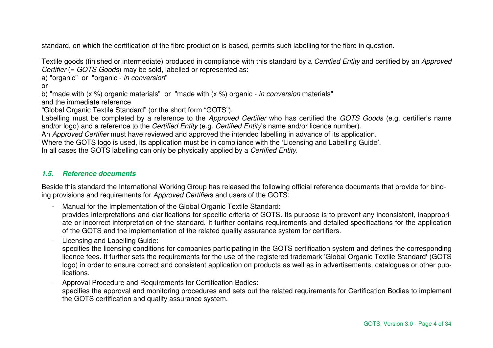standard, on which the certification of the fibre production is based, permits such labelling for the fibre in question.

Textile goods (finished or intermediate) produced in compliance with this standard by a Certified Entity and certified by an Approved Certifier (= GOTS Goods) may be sold, labelled or represented as:

a) "organic" or "organic - in conversion"

or

b) "made with (x %) organic materials" or "made with (x %) organic - in conversion materials"

and the immediate reference

"Global Organic Textile Standard" (or the short form "GOTS").

Labelling must be completed by a reference to the Approved Certifier who has certified the GOTS Goods (e.g. certifier's name and/or logo) and a reference to the Certified Entity (e.g. Certified Entity's name and/or licence number).

An Approved Certifier must have reviewed and approved the intended labelling in advance of its application.

Where the GOTS logo is used, its application must be in compliance with the 'Licensing and Labelling Guide'.

In all cases the GOTS labelling can only be physically applied by a Certified Entity.

## **1.5. Reference documents**

Beside this standard the International Working Group has released the following official reference documents that provide for binding provisions and requirements for Approved Certifiers and users of the GOTS:

- Manual for the Implementation of the Global Organic Textile Standard:

 provides interpretations and clarifications for specific criteria of GOTS. Its purpose is to prevent any inconsistent, inappropriate or incorrect interpretation of the standard. It further contains requirements and detailed specifications for the application of the GOTS and the implementation of the related quality assurance system for certifiers.

- Licensing and Labelling Guide:

 specifies the licensing conditions for companies participating in the GOTS certification system and defines the corresponding licence fees. It further sets the requirements for the use of the registered trademark 'Global Organic Textile Standard' (GOTS logo) in order to ensure correct and consistent application on products as well as in advertisements, catalogues or other publications.

- Approval Procedure and Requirements for Certification Bodies:

 specifies the approval and monitoring procedures and sets out the related requirements for Certification Bodies to implement the GOTS certification and quality assurance system.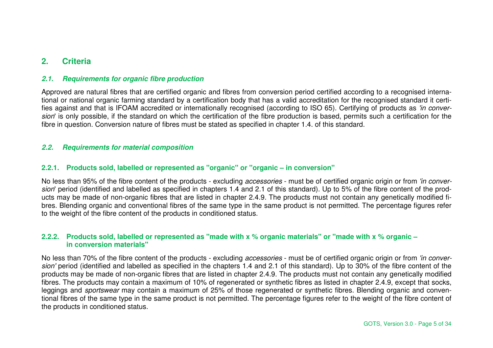# **2. Criteria**

## **2.1. Requirements for organic fibre production**

Approved are natural fibres that are certified organic and fibres from conversion period certified according to a recognised international or national organic farming standard by a certification body that has a valid accreditation for the recognised standard it certifies against and that is IFOAM accredited or internationally recognised (according to ISO 65). Certifying of products as 'in conversion' is only possible, if the standard on which the certification of the fibre production is based, permits such a certification for the fibre in question. Conversion nature of fibres must be stated as specified in chapter 1.4. of this standard.

## **2.2. Requirements for material composition**

## **2.2.1. Products sold, labelled or represented as "organic" or "organic – in conversion"**

No less than 95% of the fibre content of the products - excluding *accessories* - must be of certified organic origin or from 'in conversion' period (identified and labelled as specified in chapters 1.4 and 2.1 of this standard). Up to 5% of the fibre content of the products may be made of non-organic fibres that are listed in chapter 2.4.9. The products must not contain any genetically modified fibres. Blending organic and conventional fibres of the same type in the same product is not permitted. The percentage figures refer to the weight of the fibre content of the products in conditioned status.

## **2.2.2. Products sold, labelled or represented as "made with x % organic materials" or "made with x % organic – in conversion materials"**

No less than 70% of the fibre content of the products - excluding *accessories* - must be of certified organic origin or from 'in conversion' period (identified and labelled as specified in the chapters 1.4 and 2.1 of this standard). Up to 30% of the fibre content of the products may be made of non-organic fibres that are listed in chapter 2.4.9. The products must not contain any genetically modified fibres. The products may contain a maximum of 10% of regenerated or synthetic fibres as listed in chapter 2.4.9, except that socks, leggings and sportswear may contain a maximum of 25% of those regenerated or synthetic fibres. Blending organic and conventional fibres of the same type in the same product is not permitted. The percentage figures refer to the weight of the fibre content of the products in conditioned status.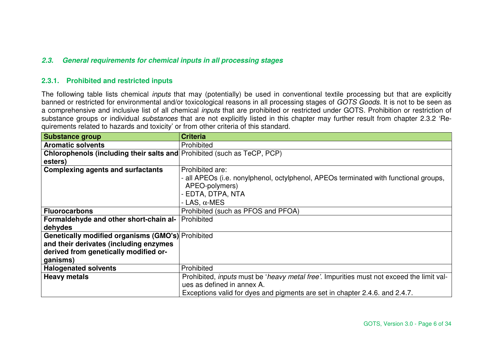## **2.3. General requirements for chemical inputs in all processing stages**

## **2.3.1. Prohibited and restricted inputs**

The following table lists chemical *inputs* that may (potentially) be used in conventional textile processing but that are explicitly banned or restricted for environmental and/or toxicological reasons in all processing stages of GOTS Goods. It is not to be seen as a comprehensive and inclusive list of all chemical *inputs* that are prohibited or restricted under GOTS. Prohibition or restriction of substance groups or individual substances that are not explicitly listed in this chapter may further result from chapter 2.3.2 'Requirements related to hazards and toxicity' or from other criteria of this standard.

| <b>Substance group</b>                                                         | <b>Criteria</b>                                                                                          |
|--------------------------------------------------------------------------------|----------------------------------------------------------------------------------------------------------|
| <b>Aromatic solvents</b>                                                       | Prohibited                                                                                               |
| <b>Chlorophenols (including their salts and Prohibited (such as TeCP, PCP)</b> |                                                                                                          |
| esters)                                                                        |                                                                                                          |
| <b>Complexing agents and surfactants</b>                                       | Prohibited are:                                                                                          |
|                                                                                | - all APEOs (i.e. nonylphenol, octylphenol, APEOs terminated with functional groups,                     |
|                                                                                | APEO-polymers)                                                                                           |
|                                                                                | - EDTA, DTPA, NTA                                                                                        |
|                                                                                | - LAS, $\alpha$ -MES                                                                                     |
| <b>Fluorocarbons</b>                                                           | Prohibited (such as PFOS and PFOA)                                                                       |
| Formaldehyde and other short-chain al-                                         | Prohibited                                                                                               |
| dehydes                                                                        |                                                                                                          |
| <b>Genetically modified organisms (GMO's)</b> Prohibited                       |                                                                                                          |
| and their derivates (including enzymes                                         |                                                                                                          |
| derived from genetically modified or-                                          |                                                                                                          |
| ganisms)                                                                       |                                                                                                          |
| <b>Halogenated solvents</b>                                                    | Prohibited                                                                                               |
| <b>Heavy metals</b>                                                            | Prohibited, <i>inputs</i> must be ' <i>heavy metal free'</i> . Impurities must not exceed the limit val- |
|                                                                                | ues as defined in annex A.                                                                               |
|                                                                                | Exceptions valid for dyes and pigments are set in chapter 2.4.6. and 2.4.7.                              |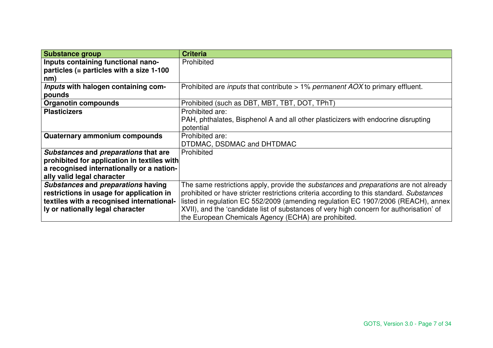| <b>Substance group</b>                      | <b>Criteria</b>                                                                                    |
|---------------------------------------------|----------------------------------------------------------------------------------------------------|
| Inputs containing functional nano-          | Prohibited                                                                                         |
| particles (= particles with a size 1-100    |                                                                                                    |
| nm)                                         |                                                                                                    |
| Inputs with halogen containing com-         | Prohibited are <i>inputs</i> that contribute > 1% <i>permanent AOX</i> to primary effluent.        |
| pounds                                      |                                                                                                    |
| <b>Organotin compounds</b>                  | Prohibited (such as DBT, MBT, TBT, DOT, TPhT)                                                      |
| <b>Plasticizers</b>                         | Prohibited are:                                                                                    |
|                                             | PAH, phthalates, Bisphenol A and all other plasticizers with endocrine disrupting                  |
|                                             | potential                                                                                          |
| Quaternary ammonium compounds               | Prohibited are:                                                                                    |
|                                             | DTDMAC, DSDMAC and DHTDMAC                                                                         |
| Substances and preparations that are        | Prohibited                                                                                         |
| prohibited for application in textiles with |                                                                                                    |
| a recognised internationally or a nation-   |                                                                                                    |
| ally valid legal character                  |                                                                                                    |
| Substances and preparations having          | The same restrictions apply, provide the <i>substances</i> and <i>preparations</i> are not already |
| restrictions in usage for application in    | prohibited or have stricter restrictions criteria according to this standard. Substances           |
| textiles with a recognised international-   | listed in regulation EC 552/2009 (amending regulation EC 1907/2006 (REACH), annex                  |
| ly or nationally legal character            | XVII), and the 'candidate list of substances of very high concern for authorisation' of            |
|                                             | the European Chemicals Agency (ECHA) are prohibited.                                               |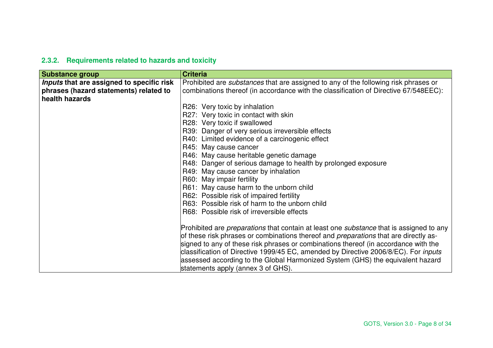# **2.3.2. Requirements related to hazards and toxicity**

| <b>Substance group</b>                    | <b>Criteria</b>                                                                                       |
|-------------------------------------------|-------------------------------------------------------------------------------------------------------|
| Inputs that are assigned to specific risk | Prohibited are substances that are assigned to any of the following risk phrases or                   |
| phrases (hazard statements) related to    | combinations thereof (in accordance with the classification of Directive 67/548EEC):                  |
| health hazards                            |                                                                                                       |
|                                           | R26: Very toxic by inhalation                                                                         |
|                                           | R27: Very toxic in contact with skin                                                                  |
|                                           | R28: Very toxic if swallowed                                                                          |
|                                           | R39: Danger of very serious irreversible effects                                                      |
|                                           | R40: Limited evidence of a carcinogenic effect                                                        |
|                                           | R45: May cause cancer                                                                                 |
|                                           | R46: May cause heritable genetic damage                                                               |
|                                           | R48: Danger of serious damage to health by prolonged exposure                                         |
|                                           | R49: May cause cancer by inhalation                                                                   |
|                                           | R60: May impair fertility                                                                             |
|                                           | R61: May cause harm to the unborn child                                                               |
|                                           | R62: Possible risk of impaired fertility                                                              |
|                                           | R63: Possible risk of harm to the unborn child                                                        |
|                                           | R68: Possible risk of irreversible effects                                                            |
|                                           |                                                                                                       |
|                                           | Prohibited are <i>preparations</i> that contain at least one <i>substance</i> that is assigned to any |
|                                           | of these risk phrases or combinations thereof and <i>preparations</i> that are directly as-           |
|                                           | signed to any of these risk phrases or combinations thereof (in accordance with the                   |
|                                           | classification of Directive 1999/45 EC, amended by Directive 2006/8/EC). For inputs                   |
|                                           | assessed according to the Global Harmonized System (GHS) the equivalent hazard                        |
|                                           | statements apply (annex 3 of GHS).                                                                    |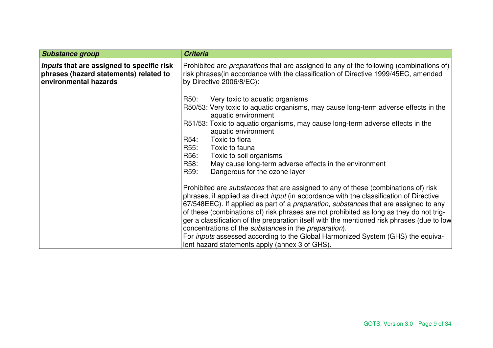| <b>Substance group</b>                                                                                       | <b>Criteria</b>                                                                                                                                                                                                                                                                                                                                                                                                                                                                                                                                                                                                                                                                                   |
|--------------------------------------------------------------------------------------------------------------|---------------------------------------------------------------------------------------------------------------------------------------------------------------------------------------------------------------------------------------------------------------------------------------------------------------------------------------------------------------------------------------------------------------------------------------------------------------------------------------------------------------------------------------------------------------------------------------------------------------------------------------------------------------------------------------------------|
| Inputs that are assigned to specific risk<br>phrases (hazard statements) related to<br>environmental hazards | Prohibited are <i>preparations</i> that are assigned to any of the following (combinations of)<br>risk phrases (in accordance with the classification of Directive 1999/45EC, amended<br>by Directive 2006/8/EC):                                                                                                                                                                                                                                                                                                                                                                                                                                                                                 |
|                                                                                                              | R50:<br>Very toxic to aquatic organisms<br>R50/53: Very toxic to aquatic organisms, may cause long-term adverse effects in the<br>aquatic environment                                                                                                                                                                                                                                                                                                                                                                                                                                                                                                                                             |
|                                                                                                              | R51/53: Toxic to aquatic organisms, may cause long-term adverse effects in the<br>aquatic environment                                                                                                                                                                                                                                                                                                                                                                                                                                                                                                                                                                                             |
|                                                                                                              | R54:<br>Toxic to flora<br>R55:<br>Toxic to fauna                                                                                                                                                                                                                                                                                                                                                                                                                                                                                                                                                                                                                                                  |
|                                                                                                              | R56:<br>Toxic to soil organisms                                                                                                                                                                                                                                                                                                                                                                                                                                                                                                                                                                                                                                                                   |
|                                                                                                              | R58:<br>May cause long-term adverse effects in the environment                                                                                                                                                                                                                                                                                                                                                                                                                                                                                                                                                                                                                                    |
|                                                                                                              | R59:<br>Dangerous for the ozone layer                                                                                                                                                                                                                                                                                                                                                                                                                                                                                                                                                                                                                                                             |
|                                                                                                              | Prohibited are <i>substances</i> that are assigned to any of these (combinations of) risk<br>phrases, if applied as direct <i>input</i> (in accordance with the classification of Directive<br>67/548EEC). If applied as part of a <i>preparation</i> , substances that are assigned to any<br>of these (combinations of) risk phrases are not prohibited as long as they do not trig-<br>ger a classification of the preparation itself with the mentioned risk phrases (due to low<br>concentrations of the <i>substances</i> in the <i>preparation</i> ).<br>For inputs assessed according to the Global Harmonized System (GHS) the equiva-<br>lent hazard statements apply (annex 3 of GHS). |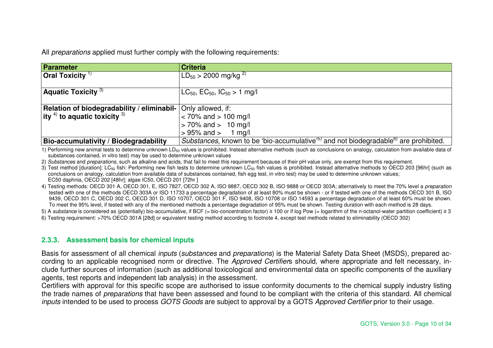All preparations applied must further comply with the following requirements:

| Parameter                                              | <b>Criteria</b>                                                                                              |
|--------------------------------------------------------|--------------------------------------------------------------------------------------------------------------|
| <b>Oral Toxicity</b> $\frac{1}{2}$                     | $LD_{50} > 2000$ mg/kg <sup>2)</sup>                                                                         |
| <b>Aquatic Toxicity</b> $3)$                           | $LC_{50}$ , $EC_{50}$ , $IC_{50} > 1$ mg/l                                                                   |
|                                                        |                                                                                                              |
| Relation of biodegradability / eliminabil-             | Only allowed, if:                                                                                            |
| $\left $ ity <sup>4)</sup> to aquatic toxicity $^{3)}$ | $<$ 70% and $>$ 100 mg/l                                                                                     |
|                                                        | $> 70\%$ and $> 10$ mg/l                                                                                     |
|                                                        | $> 95\%$ and $> 1$ mg/l                                                                                      |
| <b>Bio-accumulativity / Biodegradability</b>           | Substances, known to be 'bio-accumulative' <sup>5)</sup> and not biodegradable <sup>6)</sup> are prohibited. |

1) Performing new animal tests to determine unknown LD<sub>50</sub> values is prohibited. Instead alternative methods (such as conclusions on analogy, calculation from available data of substances contained, in vitro test) may be used to determine unknown values

2) Substances and preparations, such as alkaline and acids, that fail to meet this requirement because of their pH value only, are exempt from this requirement.

3) Test method [duration]: LC<sub>50</sub> fish: Performing new fish tests to determine unknown LC<sub>50</sub> fish values is prohibited. Instead alternative methods to OECD 203 [96hr] (such as conclusions on analogy, calculation from available data of substances contained, fish egg test, in vitro test) may be used to determine unknown values; EC50 daphnia, OECD 202 [48hr]; algae IC50, OECD 201 [72hr ]

4) Testing methods: OECD 301 A, OECD 301, E, ISO 7827, OECD 302 A, ISO 9887, OECD 302 B, ISO 9888 or OECD 303A; alternatively to meet the 70% level a *preparation*  tested with one of the methods OECD 303A or ISO 11733 a percentage degradation of at least 80% must be shown - or if tested with one of the methods OECD 301 B, ISO 9439, OECD 301 C, OECD 302 C, OECD 301 D, ISO 10707, OECD 301 F, ISO 9408, ISO 10708 or ISO 14593 a percentage degradation of at least 60% must be shown.To meet the 95% level, if tested with any of the mentioned methods a percentage degradation of 95% must be shown. Testing duration with each method is 28 days.

5) A substance is considered as (potentially) bio-accumulative, if BCF (= bio-concentration factor) ≥ 100 or if log Pow (= logarithm of the n-octanol-water partition coefficient) ≥ 3

6) Testing requirement: >70% OECD 301A [28d] or equivalent testing method according to footnote 4, except test methods related to eliminability (OECD 302)

## **2.3.3. Assessment basis for chemical inputs**

Basis for assessment of all chemical *inputs (substances and preparations*) is the Material Safety Data Sheet (MSDS), prepared according to an applicable recognised norm or directive. The Approved Certifiers should, where appropriate and felt necessary, include further sources of information (such as additional toxicological and environmental data on specific components of the auxiliary agents, test reports and independent lab analysis) in the assessment.

 Certifiers with approval for this specific scope are authorised to issue conformity documents to the chemical supply industry listing the trade names of *preparations* that have been assessed and found to be compliant with the criteria of this standard. All chemical inputs intended to be used to process GOTS Goods are subject to approval by a GOTS Approved Certifier prior to their usage.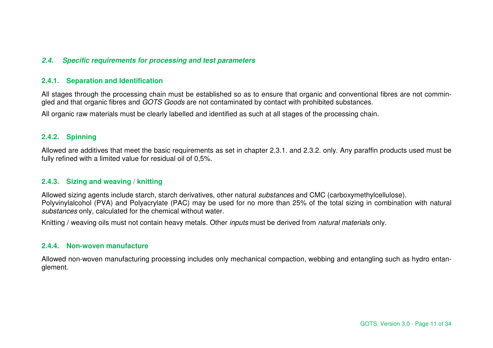## **2.4. Specific requirements for processing and test parameters**

## **2.4.1. Separation and Identification**

All stages through the processing chain must be established so as to ensure that organic and conventional fibres are not commingled and that organic fibres and GOTS Goods are not contaminated by contact with prohibited substances.

All organic raw materials must be clearly labelled and identified as such at all stages of the processing chain.

## **2.4.2. Spinning**

Allowed are additives that meet the basic requirements as set in chapter 2.3.1. and 2.3.2. only. Any paraffin products used must be fully refined with a limited value for residual oil of 0,5%.

## **2.4.3. Sizing and weaving / knitting**

Allowed sizing agents include starch, starch derivatives, other natural substances and CMC (carboxymethylcellulose). Polyvinylalcohol (PVA) and Polyacrylate (PAC) may be used for no more than 25% of the total sizing in combination with natural substances only, calculated for the chemical without water.

Knitting / weaving oils must not contain heavy metals. Other *inputs* must be derived from *natural materials* only.

## **2.4.4. Non-woven manufacture**

Allowed non-woven manufacturing processing includes only mechanical compaction, webbing and entangling such as hydro entanglement.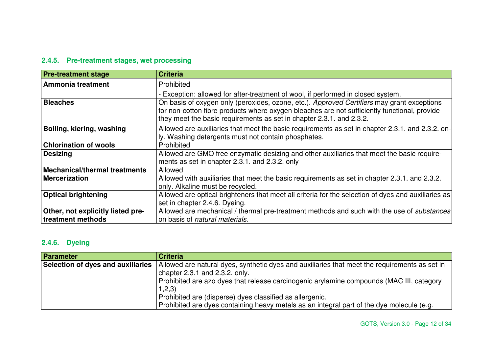## **2.4.5. Pre-treatment stages, wet processing**

| <b>Pre-treatment stage</b>           | <b>Criteria</b>                                                                                                                                                                                                                                                    |
|--------------------------------------|--------------------------------------------------------------------------------------------------------------------------------------------------------------------------------------------------------------------------------------------------------------------|
| Ammonia treatment                    | Prohibited                                                                                                                                                                                                                                                         |
|                                      | - Exception: allowed for after-treatment of wool, if performed in closed system.                                                                                                                                                                                   |
| <b>Bleaches</b>                      | On basis of oxygen only (peroxides, ozone, etc.). Approved Certifiers may grant exceptions<br>for non-cotton fibre products where oxygen bleaches are not sufficiently functional, provide<br>they meet the basic requirements as set in chapter 2.3.1. and 2.3.2. |
| Boiling, kiering, washing            | Allowed are auxiliaries that meet the basic requirements as set in chapter 2.3.1. and 2.3.2. on-<br>ly. Washing detergents must not contain phosphates.                                                                                                            |
| <b>Chlorination of wools</b>         | Prohibited                                                                                                                                                                                                                                                         |
| <b>Desizing</b>                      | Allowed are GMO free enzymatic desizing and other auxiliaries that meet the basic require-<br>ments as set in chapter 2.3.1. and 2.3.2. only                                                                                                                       |
| <b>Mechanical/thermal treatments</b> | Allowed                                                                                                                                                                                                                                                            |
| <b>Mercerization</b>                 | Allowed with auxiliaries that meet the basic requirements as set in chapter 2.3.1. and 2.3.2.<br>only. Alkaline must be recycled.                                                                                                                                  |
| <b>Optical brightening</b>           | Allowed are optical brighteners that meet all criteria for the selection of dyes and auxiliaries as                                                                                                                                                                |
|                                      | set in chapter 2.4.6. Dyeing.                                                                                                                                                                                                                                      |
| Other, not explicitly listed pre-    | Allowed are mechanical / thermal pre-treatment methods and such with the use of substances                                                                                                                                                                         |
| treatment methods                    | on basis of <i>natural materials</i> .                                                                                                                                                                                                                             |

## **2.4.6. Dyeing**

| <b>Parameter</b>                  | <b>Criteria</b>                                                                               |
|-----------------------------------|-----------------------------------------------------------------------------------------------|
| Selection of dyes and auxiliaries | Allowed are natural dyes, synthetic dyes and auxiliaries that meet the requirements as set in |
|                                   | chapter $2.3.1$ and $2.3.2$ . only.                                                           |
|                                   | Prohibited are azo dyes that release carcinogenic arylamine compounds (MAC III, category      |
|                                   | 1,2,3)                                                                                        |
|                                   | Prohibited are (disperse) dyes classified as allergenic.                                      |
|                                   | Prohibited are dyes containing heavy metals as an integral part of the dye molecule (e.g.     |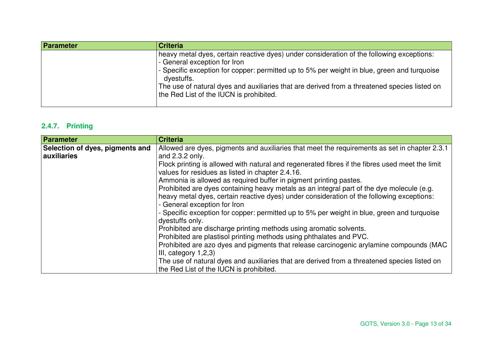| Parameter | <b>Criteria</b>                                                                                                                                                                                                                                                                                                                                                                   |
|-----------|-----------------------------------------------------------------------------------------------------------------------------------------------------------------------------------------------------------------------------------------------------------------------------------------------------------------------------------------------------------------------------------|
|           | heavy metal dyes, certain reactive dyes) under consideration of the following exceptions:<br>- General exception for Iron<br>- Specific exception for copper: permitted up to 5% per weight in blue, green and turquoise<br>dyestuffs.<br>The use of natural dyes and auxiliaries that are derived from a threatened species listed on<br>the Red List of the IUCN is prohibited. |

## **2.4.7. Printing**

| Parameter                       | <b>Criteria</b>                                                                                                           |
|---------------------------------|---------------------------------------------------------------------------------------------------------------------------|
| Selection of dyes, pigments and | Allowed are dyes, pigments and auxiliaries that meet the requirements as set in chapter 2.3.1                             |
| auxiliaries                     | and 2.3.2 only.                                                                                                           |
|                                 | Flock printing is allowed with natural and regenerated fibres if the fibres used meet the limit                           |
|                                 | values for residues as listed in chapter 2.4.16.                                                                          |
|                                 | Ammonia is allowed as required buffer in pigment printing pastes.                                                         |
|                                 | Prohibited are dyes containing heavy metals as an integral part of the dye molecule (e.g.                                 |
|                                 | heavy metal dyes, certain reactive dyes) under consideration of the following exceptions:<br>- General exception for Iron |
|                                 | - Specific exception for copper: permitted up to 5% per weight in blue, green and turquoise<br>dyestuffs only.            |
|                                 | Prohibited are discharge printing methods using aromatic solvents.                                                        |
|                                 | Prohibited are plastisol printing methods using phthalates and PVC.                                                       |
|                                 | Prohibited are azo dyes and pigments that release carcinogenic arylamine compounds (MAC                                   |
|                                 | III, category 1,2,3)                                                                                                      |
|                                 | The use of natural dyes and auxiliaries that are derived from a threatened species listed on                              |
|                                 | the Red List of the IUCN is prohibited.                                                                                   |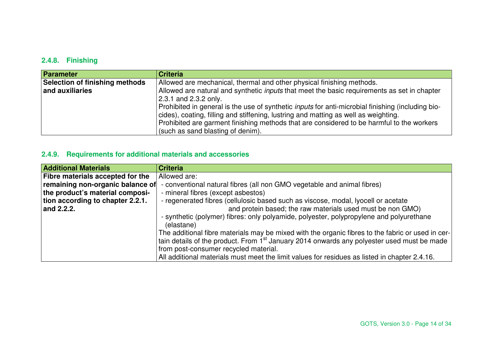## **2.4.8. Finishing**

| <b>Parameter</b>               | <b>Criteria</b>                                                                                                                                                                                 |
|--------------------------------|-------------------------------------------------------------------------------------------------------------------------------------------------------------------------------------------------|
| Selection of finishing methods | Allowed are mechanical, thermal and other physical finishing methods.                                                                                                                           |
| and auxiliaries                | Allowed are natural and synthetic <i>inputs</i> that meet the basic requirements as set in chapter                                                                                              |
|                                | $ 2.3.1$ and 2.3.2 only.                                                                                                                                                                        |
|                                | Prohibited in general is the use of synthetic <i>inputs</i> for anti-microbial finishing (including bio-<br>cides), coating, filling and stiffening, lustring and matting as well as weighting. |
|                                | Prohibited are garment finishing methods that are considered to be harmful to the workers<br>(such as sand blasting of denim).                                                                  |

## **2.4.9. Requirements for additional materials and accessories**

| <b>Additional Materials</b>             | <b>Criteria</b>                                                                                       |
|-----------------------------------------|-------------------------------------------------------------------------------------------------------|
| <b>Fibre materials accepted for the</b> | Allowed are:                                                                                          |
| remaining non-organic balance of        | - conventional natural fibres (all non GMO vegetable and animal fibres)                               |
| the product's material composi-         | - mineral fibres (except asbestos)                                                                    |
| tion according to chapter 2.2.1.        | - regenerated fibres (cellulosic based such as viscose, modal, lyocell or acetate                     |
| and 2.2.2.                              | and protein based; the raw materials used must be non GMO)                                            |
|                                         | - synthetic (polymer) fibres: only polyamide, polyester, polypropylene and polyurethane<br>(elastane) |
|                                         | The additional fibre materials may be mixed with the organic fibres to the fabric or used in cer-     |
|                                         | tain details of the product. From $1st$ January 2014 onwards any polyester used must be made          |
|                                         | from post-consumer recycled material.                                                                 |
|                                         | All additional materials must meet the limit values for residues as listed in chapter 2.4.16.         |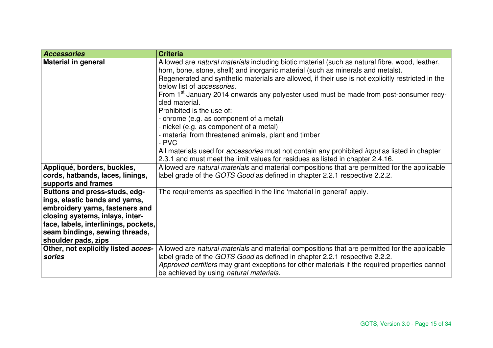| <b>Accessories</b>                   | <b>Criteria</b>                                                                                             |
|--------------------------------------|-------------------------------------------------------------------------------------------------------------|
| <b>Material in general</b>           | Allowed are natural materials including biotic material (such as natural fibre, wood, leather,              |
|                                      | horn, bone, stone, shell) and inorganic material (such as minerals and metals).                             |
|                                      | Regenerated and synthetic materials are allowed, if their use is not explicitly restricted in the           |
|                                      | below list of <i>accessories</i> .                                                                          |
|                                      | From 1 <sup>st</sup> January 2014 onwards any polyester used must be made from post-consumer recy-          |
|                                      | cled material.                                                                                              |
|                                      | Prohibited is the use of:                                                                                   |
|                                      | - chrome (e.g. as component of a metal)                                                                     |
|                                      | - nickel (e.g. as component of a metal)                                                                     |
|                                      | - material from threatened animals, plant and timber                                                        |
|                                      | - PVC                                                                                                       |
|                                      | All materials used for <i>accessories</i> must not contain any prohibited <i>input</i> as listed in chapter |
|                                      | 2.3.1 and must meet the limit values for residues as listed in chapter 2.4.16.                              |
| Appliqué, borders, buckles,          | Allowed are natural materials and material compositions that are permitted for the applicable               |
| cords, hatbands, laces, linings,     | label grade of the GOTS Good as defined in chapter 2.2.1 respective 2.2.2.                                  |
| supports and frames                  |                                                                                                             |
| Buttons and press-studs, edg-        | The requirements as specified in the line 'material in general' apply.                                      |
| ings, elastic bands and yarns,       |                                                                                                             |
| embroidery yarns, fasteners and      |                                                                                                             |
| closing systems, inlays, inter-      |                                                                                                             |
| face, labels, interlinings, pockets, |                                                                                                             |
| seam bindings, sewing threads,       |                                                                                                             |
| shoulder pads, zips                  |                                                                                                             |
| Other, not explicitly listed acces-  | Allowed are natural materials and material compositions that are permitted for the applicable               |
| sories                               | label grade of the GOTS Good as defined in chapter 2.2.1 respective 2.2.2.                                  |
|                                      | Approved certifiers may grant exceptions for other materials if the required properties cannot              |
|                                      | be achieved by using natural materials.                                                                     |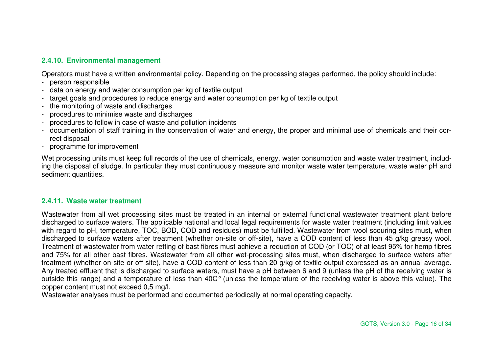## **2.4.10. Environmental management**

Operators must have a written environmental policy. Depending on the processing stages performed, the policy should include:

- person responsible
- data on energy and water consumption per kg of textile output
- target goals and procedures to reduce energy and water consumption per kg of textile output
- the monitoring of waste and discharges
- procedures to minimise waste and discharges
- procedures to follow in case of waste and pollution incidents
- documentation of staff training in the conservation of water and energy, the proper and minimal use of chemicals and their correct disposal
- programme for improvement

Wet processing units must keep full records of the use of chemicals, energy, water consumption and waste water treatment, including the disposal of sludge. In particular they must continuously measure and monitor waste water temperature, waste water pH and sediment quantities.

#### **2.4.11. Waste water treatment**

Wastewater from all wet processing sites must be treated in an internal or external functional wastewater treatment plant before discharged to surface waters. The applicable national and local legal requirements for waste water treatment (including limit values with regard to pH, temperature, TOC, BOD, COD and residues) must be fulfilled. Wastewater from wool scouring sites must, when discharged to surface waters after treatment (whether on-site or off-site), have a COD content of less than 45 g/kg greasy wool. Treatment of wastewater from water retting of bast fibres must achieve a reduction of COD (or TOC) of at least 95% for hemp fibres and 75% for all other bast fibres. Wastewater from all other wet-processing sites must, when discharged to surface waters after treatment (whether on-site or off site), have a COD content of less than 20 g/kg of textile output expressed as an annual average. Any treated effluent that is discharged to surface waters, must have a pH between 6 and 9 (unless the pH of the receiving water is outside this range) and a temperature of less than 40C° (unless the temperature of the receiving water is above this value). The copper content must not exceed 0,5 mg/l.

Wastewater analyses must be performed and documented periodically at normal operating capacity.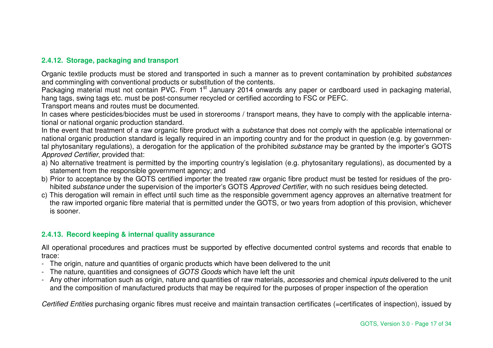## **2.4.12. Storage, packaging and transport**

Organic textile products must be stored and transported in such a manner as to prevent contamination by prohibited substances and commingling with conventional products or substitution of the contents.

Packaging material must not contain PVC. From 1<sup>st</sup> January 2014 onwards any paper or cardboard used in packaging material, hang tags, swing tags etc. must be post-consumer recycled or certified according to FSC or PEFC.

Transport means and routes must be documented.

 In cases where pesticides/biocides must be used in storerooms / transport means, they have to comply with the applicable international or national organic production standard.

In the event that treatment of a raw organic fibre product with a substance that does not comply with the applicable international or national organic production standard is legally required in an importing country and for the product in question (e.g. by governmental phytosanitary regulations), a derogation for the application of the prohibited substance may be granted by the importer's GOTS Approved Certifier, provided that:

- a) No alternative treatment is permitted by the importing country's legislation (e.g. phytosanitary regulations), as documented by a statement from the responsible government agency; and
- b) Prior to acceptance by the GOTS certified importer the treated raw organic fibre product must be tested for residues of the prohibited substance under the supervision of the importer's GOTS Approved Certifier, with no such residues being detected.
- c) This derogation will remain in effect until such time as the responsible government agency approves an alternative treatment for the raw imported organic fibre material that is permitted under the GOTS, or two years from adoption of this provision, whichever is sooner.

## **2.4.13. Record keeping & internal quality assurance**

All operational procedures and practices must be supported by effective documented control systems and records that enable to trace:

- The origin, nature and quantities of organic products which have been delivered to the unit
- The nature, quantities and consignees of GOTS Goods which have left the unit
- Any other information such as origin, nature and quantities of raw materials, accessories and chemical inputs delivered to the unit and the composition of manufactured products that may be required for the purposes of proper inspection of the operation

Certified Entities purchasing organic fibres must receive and maintain transaction certificates (=certificates of inspection), issued by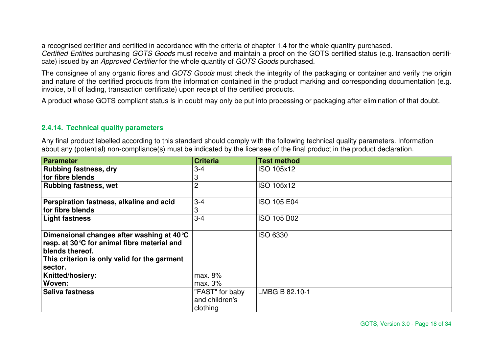a recognised certifier and certified in accordance with the criteria of chapter 1.4 for the whole quantity purchased. Certified Entities purchasing GOTS Goods must receive and maintain a proof on the GOTS certified status (e.g. transaction certificate) issued by an Approved Certifier for the whole quantity of GOTS Goods purchased.

The consignee of any organic fibres and GOTS Goods must check the integrity of the packaging or container and verify the origin and nature of the certified products from the information contained in the product marking and corresponding documentation (e.g. invoice, bill of lading, transaction certificate) upon receipt of the certified products.

A product whose GOTS compliant status is in doubt may only be put into processing or packaging after elimination of that doubt.

## **2.4.14. Technical quality parameters**

Any final product labelled according to this standard should comply with the following technical quality parameters. Information about any (potential) non-compliance(s) must be indicated by the licensee of the final product in the product declaration.

| <b>Parameter</b>                             | <b>Criteria</b> | <b>Test method</b> |
|----------------------------------------------|-----------------|--------------------|
| <b>Rubbing fastness, dry</b>                 | $3 - 4$         | ISO 105x12         |
| for fibre blends                             | 3               |                    |
| <b>Rubbing fastness, wet</b>                 | $\overline{2}$  | ISO 105x12         |
|                                              |                 |                    |
| Perspiration fastness, alkaline and acid     | $3 - 4$         | <b>ISO 105 E04</b> |
| for fibre blends                             | 3               |                    |
| <b>Light fastness</b>                        | $3 - 4$         | ISO 105 B02        |
|                                              |                 |                    |
| Dimensional changes after washing at 40 °C   |                 | <b>ISO 6330</b>    |
| resp. at 30 °C for animal fibre material and |                 |                    |
| blends thereof.                              |                 |                    |
| This criterion is only valid for the garment |                 |                    |
| sector.                                      |                 |                    |
| <b>Knitted/hosiery:</b>                      | max. 8%         |                    |
| Woven:                                       | max. 3%         |                    |
| <b>Saliva fastness</b>                       | "FAST" for baby | LMBG B 82.10-1     |
|                                              | and children's  |                    |
|                                              | clothing        |                    |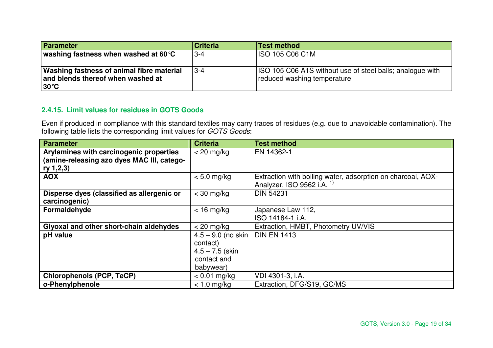| Parameter                                                                                                | <b>Criteria</b> | <b>Test method</b>                                                                       |
|----------------------------------------------------------------------------------------------------------|-----------------|------------------------------------------------------------------------------------------|
| washing fastness when washed at 60 $C$                                                                   | $3 - 4$         | ISO 105 C06 C1M                                                                          |
| <b>Washing fastness of animal fibre material</b><br>and blends thereof when washed at<br>$ 30^{\circ}$ C | l 3-4           | ISO 105 C06 A1S without use of steel balls; analogue with<br>reduced washing temperature |

## **2.4.15. Limit values for residues in GOTS Goods**

Even if produced in compliance with this standard textiles may carry traces of residues (e.g. due to unavoidable contamination). The<br>following table lists the corresponding limit values for *GOTS Goods*:

| <b>Parameter</b>                           | <b>Criteria</b>      | <b>Test method</b>                                          |
|--------------------------------------------|----------------------|-------------------------------------------------------------|
| Arylamines with carcinogenic properties    | $<$ 20 mg/kg         | EN 14362-1                                                  |
| (amine-releasing azo dyes MAC III, catego- |                      |                                                             |
| ry 1,2,3)                                  |                      |                                                             |
| <b>AOX</b>                                 | $< 5.0$ mg/kg        | Extraction with boiling water, adsorption on charcoal, AOX- |
|                                            |                      | Analyzer, ISO 9562 i.A. <sup>1)</sup>                       |
| Disperse dyes (classified as allergenic or | $<$ 30 mg/kg         | <b>DIN 54231</b>                                            |
| carcinogenic)                              |                      |                                                             |
| Formaldehyde                               | $<$ 16 mg/kg         | Japanese Law 112,                                           |
|                                            |                      | ISO 14184-1 i.A.                                            |
| Glyoxal and other short-chain aldehydes    | $<$ 20 mg/kg         | Extraction, HMBT, Photometry UV/VIS                         |
| pH value                                   | $4.5 - 9.0$ (no skin | <b>DIN EN 1413</b>                                          |
|                                            | contact)             |                                                             |
|                                            | $4.5 - 7.5$ (skin    |                                                             |
|                                            | contact and          |                                                             |
|                                            | babywear)            |                                                             |
| <b>Chlorophenols (PCP, TeCP)</b>           | $< 0.01$ mg/kg       | VDI 4301-3, i.A.                                            |
| o-Phenylphenole                            | $< 1.0$ mg/kg        | Extraction, DFG/S19, GC/MS                                  |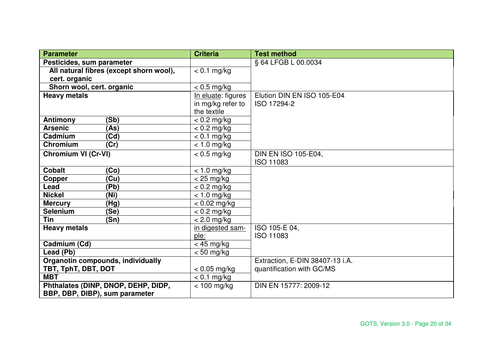| <b>Parameter</b>                        | <b>Criteria</b>    | <b>Test method</b>              |
|-----------------------------------------|--------------------|---------------------------------|
| Pesticides, sum parameter               |                    | § 64 LFGB L 00.0034             |
| All natural fibres (except shorn wool), | $< 0.1$ mg/kg      |                                 |
| cert. organic                           |                    |                                 |
| Shorn wool, cert. organic               | $< 0.5$ mg/kg      |                                 |
| <b>Heavy metals</b>                     | In eluate: figures | Elution DIN EN ISO 105-E04      |
|                                         | in mg/kg refer to  | ISO 17294-2                     |
|                                         | the textile        |                                 |
| Antimony<br>(Sb)                        | $< 0.2$ mg/kg      |                                 |
| (As)<br><b>Arsenic</b>                  | $< 0.2$ mg/kg      |                                 |
| (Cd)<br>Cadmium                         | $< 0.1$ mg/kg      |                                 |
| <b>Chromium</b><br>(Cr)                 | $< 1.0$ mg/kg      |                                 |
| <b>Chromium VI (Cr-VI)</b>              | $< 0.5$ mg/kg      | <b>DIN EN ISO 105-E04,</b>      |
|                                         |                    | ISO 11083                       |
| <b>Cobalt</b><br>(Co)                   | $< 1.0$ mg/kg      |                                 |
| (Cu)<br>Copper                          | $<$ 25 mg/kg       |                                 |
| (Pb)<br>Lead                            | $< 0.2$ mg/kg      |                                 |
| <b>Nickel</b><br>(Ni)                   | $< 1.0$ mg/kg      |                                 |
| (Hg)<br><b>Mercury</b>                  | $< 0.02$ mg/kg     |                                 |
| (Se)<br><b>Selenium</b>                 | $< 0.2$ mg/kg      |                                 |
| <b>Tin</b><br>(Sn)                      | $< 2.0$ mg/kg      |                                 |
| <b>Heavy metals</b>                     | in digested sam-   | ISO 105-E 04,                   |
|                                         | ple:               | <b>ISO 11083</b>                |
| Cadmium (Cd)                            | $<$ 45 mg/kg       |                                 |
| Lead (Pb)                               | $< 50$ mg/kg       |                                 |
| Organotin compounds, individually       |                    | Extraction, E-DIN 38407-13 i.A. |
| TBT, TphT, DBT, DOT                     | $< 0.05$ mg/kg     | quantification with GC/MS       |
| <b>MBT</b>                              | $< 0.1$ mg/kg      |                                 |
| Phthalates (DINP, DNOP, DEHP, DIDP,     | $< 100$ mg/kg      | DIN EN 15777: 2009-12           |
| BBP, DBP, DIBP), sum parameter          |                    |                                 |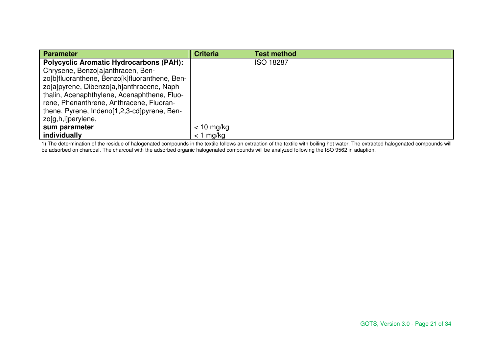| Parameter                                      | <b>Criteria</b> | <b>Test method</b> |
|------------------------------------------------|-----------------|--------------------|
| <b>Polycyclic Aromatic Hydrocarbons (PAH):</b> |                 | <b>ISO 18287</b>   |
| Chrysene, Benzo[a]anthracen, Ben-              |                 |                    |
| zo[b]fluoranthene, Benzo[k]fluoranthene, Ben-  |                 |                    |
| zo[a]pyrene, Dibenzo[a,h]anthracene, Naph-     |                 |                    |
| thalin, Acenaphthylene, Acenaphthene, Fluo-    |                 |                    |
| rene, Phenanthrene, Anthracene, Fluoran-       |                 |                    |
| thene, Pyrene, Indeno[1,2,3-cd]pyrene, Ben-    |                 |                    |
| zo[g,h,i]perylene,                             |                 |                    |
| sum parameter                                  | $< 10$ mg/kg    |                    |
| individually                                   | $<$ 1 mg/kg     |                    |

1) The determination of the residue of halogenated compounds in the textile follows an extraction of the textile with boiling hot water. The extracted halogenated compounds will<br>be adsorbed on charcoal. The charcoal with t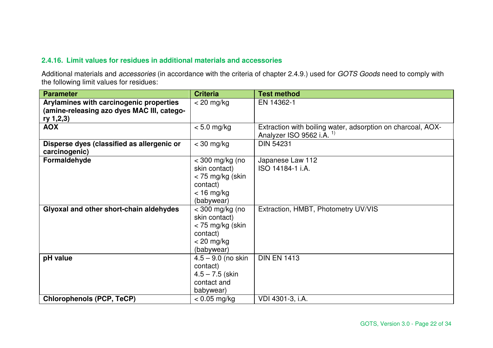## **2.4.16. Limit values for residues in additional materials and accessories**

Additional materials and accessories (in accordance with the criteria of chapter 2.4.9.) used for GOTS Goods need to comply with the following limit values for residues:

| <b>Parameter</b>                                                                                   | <b>Criteria</b>                                                                                  | <b>Test method</b>                                                                                  |
|----------------------------------------------------------------------------------------------------|--------------------------------------------------------------------------------------------------|-----------------------------------------------------------------------------------------------------|
| Arylamines with carcinogenic properties<br>(amine-releasing azo dyes MAC III, catego-<br>ry 1,2,3) | $<$ 20 mg/kg                                                                                     | EN 14362-1                                                                                          |
| <b>AOX</b>                                                                                         | $< 5.0$ mg/kg                                                                                    | Extraction with boiling water, adsorption on charcoal, AOX-<br>Analyzer ISO 9562 i.A. <sup>1)</sup> |
| Disperse dyes (classified as allergenic or<br>carcinogenic)                                        | $<$ 30 mg/kg                                                                                     | <b>DIN 54231</b>                                                                                    |
| Formaldehyde                                                                                       | $<$ 300 mg/kg (no<br>skin contact)<br>< 75 mg/kg (skin<br>contact)<br>$<$ 16 mg/kg<br>(babywear) | Japanese Law 112<br>ISO 14184-1 i.A.                                                                |
| Glyoxal and other short-chain aldehydes                                                            | $<$ 300 mg/kg (no<br>skin contact)<br>< 75 mg/kg (skin<br>contact)<br>$<$ 20 mg/kg<br>(babywear) | Extraction, HMBT, Photometry UV/VIS                                                                 |
| pH value                                                                                           | $4.5 - 9.0$ (no skin<br>contact)<br>$4.5 - 7.5$ (skin<br>contact and<br>babywear)                | <b>DIN EN 1413</b>                                                                                  |
| <b>Chlorophenols (PCP, TeCP)</b>                                                                   | $< 0.05$ mg/kg                                                                                   | VDI 4301-3, i.A.                                                                                    |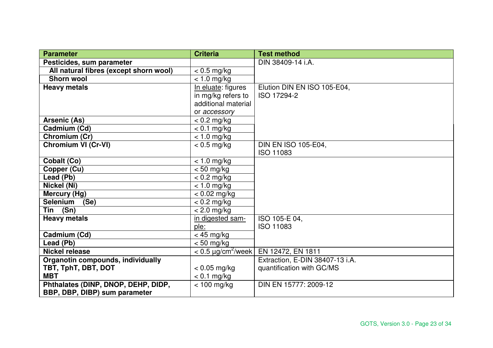| <b>Parameter</b>                       | <b>Criteria</b>          | <b>Test method</b>              |
|----------------------------------------|--------------------------|---------------------------------|
| Pesticides, sum parameter              |                          | DIN 38409-14 i.A.               |
| All natural fibres (except shorn wool) | $< 0.5$ mg/kg            |                                 |
| <b>Shorn wool</b>                      | $< 1.0$ mg/kg            |                                 |
| <b>Heavy metals</b>                    | In eluate: figures       | Elution DIN EN ISO 105-E04,     |
|                                        | in mg/kg refers to       | ISO 17294-2                     |
|                                        | additional material      |                                 |
|                                        | or accessory             |                                 |
| Arsenic (As)                           | $< 0.2$ mg/kg            |                                 |
| Cadmium (Cd)                           | $< 0.1$ mg/kg            |                                 |
| Chromium (Cr)                          | $< 1.0$ mg/kg            |                                 |
| <b>Chromium VI (Cr-VI)</b>             | $< 0.5$ mg/kg            | <b>DIN EN ISO 105-E04,</b>      |
|                                        |                          | <b>ISO 11083</b>                |
| Cobalt (Co)                            | $< 1.0$ mg/kg            |                                 |
| Copper (Cu)                            | $< 50$ mg/kg             |                                 |
| Lead (Pb)                              | $< 0.2$ mg/kg            |                                 |
| Nickel (Ni)                            | $< 1.0$ mg/kg            |                                 |
| Mercury (Hg)                           | $< 0.02$ mg/kg           |                                 |
| <b>Selenium</b><br>(Se)                | $< 0.2$ mg/kg            |                                 |
| Tin (Sn)                               | $< 2.0$ mg/kg            |                                 |
| <b>Heavy metals</b>                    | in digested sam-         | ISO 105-E 04,                   |
|                                        | ple:                     | <b>ISO 11083</b>                |
| Cadmium (Cd)                           | $<$ 45 mg/kg             |                                 |
| Lead (Pb)                              | $< 50$ mg/kg             |                                 |
| <b>Nickel release</b>                  | $< 0.5 \mu g/cm^2$ /week | EN 12472, EN 1811               |
| Organotin compounds, individually      |                          | Extraction, E-DIN 38407-13 i.A. |
| TBT, TphT, DBT, DOT                    | $< 0.05$ mg/kg           | quantification with GC/MS       |
| <b>MBT</b>                             | $< 0.1$ mg/kg            |                                 |
| Phthalates (DINP, DNOP, DEHP, DIDP,    | $<$ 100 mg/kg            | DIN EN 15777: 2009-12           |
| BBP, DBP, DIBP) sum parameter          |                          |                                 |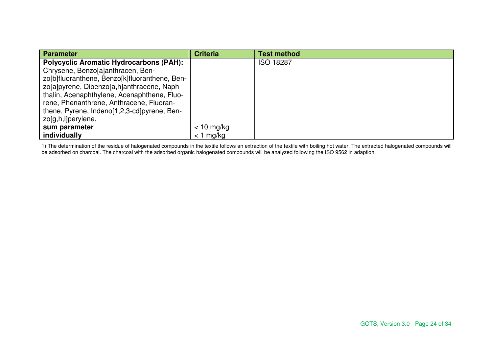| Parameter                                      | <b>Criteria</b> | <b>Test method</b> |
|------------------------------------------------|-----------------|--------------------|
| <b>Polycyclic Aromatic Hydrocarbons (PAH):</b> |                 | <b>ISO 18287</b>   |
| Chrysene, Benzo[a]anthracen, Ben-              |                 |                    |
| zo[b]fluoranthene, Benzo[k]fluoranthene, Ben-  |                 |                    |
| zo[a]pyrene, Dibenzo[a,h]anthracene, Naph-     |                 |                    |
| thalin, Acenaphthylene, Acenaphthene, Fluo-    |                 |                    |
| rene, Phenanthrene, Anthracene, Fluoran-       |                 |                    |
| thene, Pyrene, Indeno[1,2,3-cd]pyrene, Ben-    |                 |                    |
| zo[g,h,i]perylene,                             |                 |                    |
| sum parameter                                  | $< 10$ mg/kg    |                    |
| individually                                   | $<$ 1 mg/kg     |                    |

1) The determination of the residue of halogenated compounds in the textile follows an extraction of the textile with boiling hot water. The extracted halogenated compounds will<br>be adsorbed on charcoal. The charcoal with t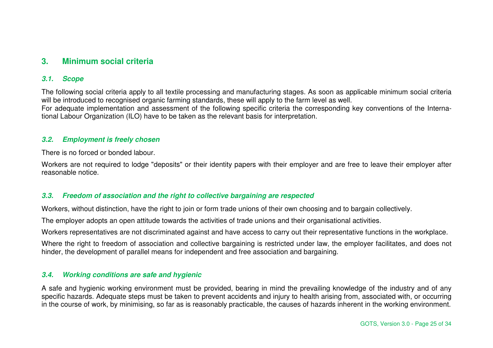# **3. Minimum social criteria**

## **3.1. Scope**

The following social criteria apply to all textile processing and manufacturing stages. As soon as applicable minimum social criteria will be introduced to recognised organic farming standards, these will apply to the farm level as well. For adequate implementation and assessment of the following specific criteria the corresponding key conventions of the International Labour Organization (ILO) have to be taken as the relevant basis for interpretation.

## **3.2. Employment is freely chosen**

There is no forced or bonded labour.

Workers are not required to lodge "deposits" or their identity papers with their employer and are free to leave their employer after reasonable notice.

## **3.3. Freedom of association and the right to collective bargaining are respected**

Workers, without distinction, have the right to join or form trade unions of their own choosing and to bargain collectively.

The employer adopts an open attitude towards the activities of trade unions and their organisational activities.

Workers representatives are not discriminated against and have access to carry out their representative functions in the workplace.

Where the right to freedom of association and collective bargaining is restricted under law, the employer facilitates, and does not hinder, the development of parallel means for independent and free association and bargaining.

## **3.4. Working conditions are safe and hygienic**

A safe and hygienic working environment must be provided, bearing in mind the prevailing knowledge of the industry and of any specific hazards. Adequate steps must be taken to prevent accidents and injury to health arising from, associated with, or occurring in the course of work, by minimising, so far as is reasonably practicable, the causes of hazards inherent in the working environment.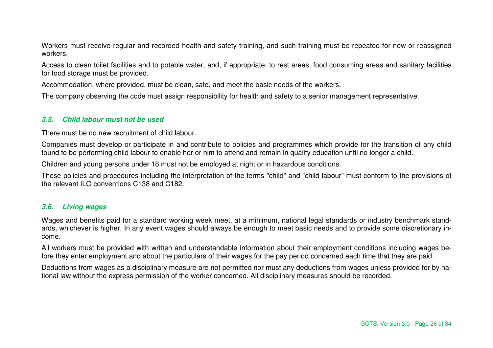Workers must receive regular and recorded health and safety training, and such training must be repeated for new or reassigned workers.

Access to clean toilet facilities and to potable water, and, if appropriate, to rest areas, food consuming areas and sanitary facilities for food storage must be provided.

Accommodation, where provided, must be clean, safe, and meet the basic needs of the workers.

The company observing the code must assign responsibility for health and safety to a senior management representative.

#### **3.5. Child labour must not be used**

There must be no new recruitment of child labour.

Companies must develop or participate in and contribute to policies and programmes which provide for the transition of any child found to be performing child labour to enable her or him to attend and remain in quality education until no longer a child.

Children and young persons under 18 must not be employed at night or in hazardous conditions.

These policies and procedures including the interpretation of the terms "child" and "child labour" must conform to the provisions of the relevant ILO conventions C138 and C182.

## **3.6. Living wages**

Wages and benefits paid for a standard working week meet, at a minimum, national legal standards or industry benchmark standards, whichever is higher. In any event wages should always be enough to meet basic needs and to provide some discretionary income.

All workers must be provided with written and understandable information about their employment conditions including wages before they enter employment and about the particulars of their wages for the pay period concerned each time that they are paid.

Deductions from wages as a disciplinary measure are not permitted nor must any deductions from wages unless provided for by national law without the express permission of the worker concerned. All disciplinary measures should be recorded.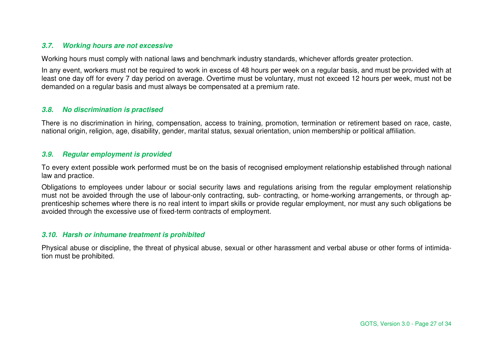## **3.7. Working hours are not excessive**

Working hours must comply with national laws and benchmark industry standards, whichever affords greater protection.

In any event, workers must not be required to work in excess of 48 hours per week on a regular basis, and must be provided with at least one day off for every 7 day period on average. Overtime must be voluntary, must not exceed 12 hours per week, must not be demanded on a regular basis and must always be compensated at a premium rate.

## **3.8. No discrimination is practised**

There is no discrimination in hiring, compensation, access to training, promotion, termination or retirement based on race, caste, national origin, religion, age, disability, gender, marital status, sexual orientation, union membership or political affiliation.

## **3.9. Regular employment is provided**

To every extent possible work performed must be on the basis of recognised employment relationship established through national law and practice.

Obligations to employees under labour or social security laws and regulations arising from the regular employment relationship must not be avoided through the use of labour-only contracting, sub- contracting, or home-working arrangements, or through apprenticeship schemes where there is no real intent to impart skills or provide regular employment, nor must any such obligations be avoided through the excessive use of fixed-term contracts of employment.

## **3.10. Harsh or inhumane treatment is prohibited**

Physical abuse or discipline, the threat of physical abuse, sexual or other harassment and verbal abuse or other forms of intimidation must be prohibited.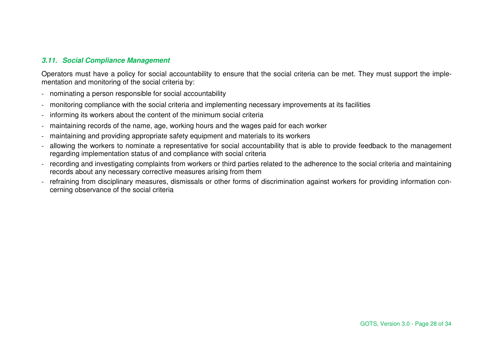## **3.11. Social Compliance Management**

Operators must have a policy for social accountability to ensure that the social criteria can be met. They must support the implementation and monitoring of the social criteria by:

- nominating a person responsible for social accountability
- monitoring compliance with the social criteria and implementing necessary improvements at its facilities
- informing its workers about the content of the minimum social criteria
- maintaining records of the name, age, working hours and the wages paid for each worker
- maintaining and providing appropriate safety equipment and materials to its workers
- allowing the workers to nominate a representative for social accountability that is able to provide feedback to the management regarding implementation status of and compliance with social criteria
- recording and investigating complaints from workers or third parties related to the adherence to the social criteria and maintaining records about any necessary corrective measures arising from them
- refraining from disciplinary measures, dismissals or other forms of discrimination against workers for providing information concerning observance of the social criteria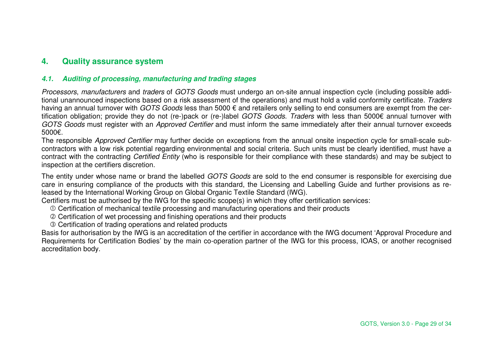# **4. Quality assurance system**

## **4.1. Auditing of processing, manufacturing and trading stages**

Processors, manufacturers and traders of GOTS Goods must undergo an on-site annual inspection cycle (including possible additional unannounced inspections based on a risk assessment of the operations) and must hold a valid conformity certificate. Tradershaving an annual turnover with *GOTS Goods* less than 5000 € and retailers only selling to end consumers are exempt from the certification obligation; provide they do not (re-)pack or (re-)label GOTS Goods. Traders with less than 5000€ annual turnover with GOTS Goods must register with an Approved Certifier and must inform the same immediately after their annual turnover exceeds 5000€.

The responsible Approved Certifier may further decide on exceptions from the annual onsite inspection cycle for small-scale subcontractors with a low risk potential regarding environmental and social criteria. Such units must be clearly identified, must have a contract with the contracting Certified Entity (who is responsible for their compliance with these standards) and may be subject to inspection at the certifiers discretion.

The entity under whose name or brand the labelled GOTS Goods are sold to the end consumer is responsible for exercising due care in ensuring compliance of the products with this standard, the Licensing and Labelling Guide and further provisions as released by the International Working Group on Global Organic Textile Standard (IWG).

Certifiers must be authorised by the IWG for the specific scope(s) in which they offer certification services:

- Certification of mechanical textile processing and manufacturing operations and their products
- Certification of wet processing and finishing operations and their products
- Certification of trading operations and related products

 Basis for authorisation by the IWG is an accreditation of the certifier in accordance with the IWG document 'Approval Procedure and Requirements for Certification Bodies' by the main co-operation partner of the IWG for this process, IOAS, or another recognised accreditation body.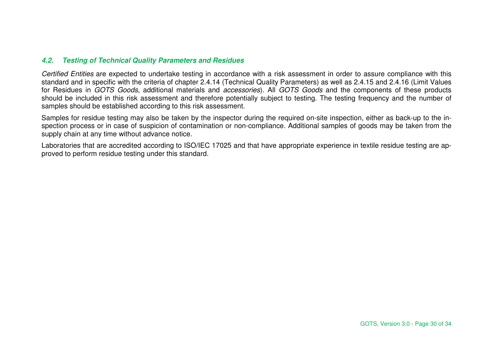## **4.2. Testing of Technical Quality Parameters and Residues**

Certified Entities are expected to undertake testing in accordance with a risk assessment in order to assure compliance with this standard and in specific with the criteria of chapter 2.4.14 (Technical Quality Parameters) as well as 2.4.15 and 2.4.16 (Limit Values for Residues in GOTS Goods, additional materials and accessories). All GOTS Goods and the components of these products should be included in this risk assessment and therefore potentially subject to testing. The testing frequency and the number of samples should be established according to this risk assessment.

Samples for residue testing may also be taken by the inspector during the required on-site inspection, either as back-up to the inspection process or in case of suspicion of contamination or non-compliance. Additional samples of goods may be taken from the supply chain at any time without advance notice.

Laboratories that are accredited according to ISO/IEC 17025 and that have appropriate experience in textile residue testing are approved to perform residue testing under this standard.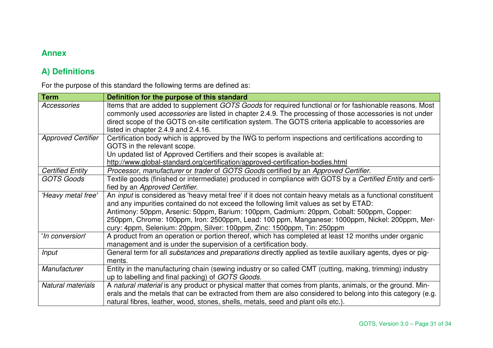# **Annex**

# **A) Definitions**

For the purpose of this standard the following terms are defined as:

| <b>Term</b>               | Definition for the purpose of this standard                                                                               |
|---------------------------|---------------------------------------------------------------------------------------------------------------------------|
| Accessories               | Items that are added to supplement GOTS Goods for required functional or for fashionable reasons. Most                    |
|                           | commonly used <i>accessories</i> are listed in chapter 2.4.9. The processing of those accessories is not under            |
|                           | direct scope of the GOTS on-site certification system. The GOTS criteria applicable to accessories are                    |
|                           | listed in chapter 2.4.9 and 2.4.16.                                                                                       |
| <b>Approved Certifier</b> | Certification body which is approved by the IWG to perform inspections and certifications according to                    |
|                           | GOTS in the relevant scope.                                                                                               |
|                           | Un updated list of Approved Certifiers and their scopes is available at:                                                  |
|                           | http://www.global-standard.org/certification/approved-certification-bodies.html                                           |
| <b>Certified Entity</b>   | Processor, manufacturer or trader of GOTS Goods certified by an Approved Certifier.                                       |
| <b>GOTS Goods</b>         | Textile goods (finished or intermediate) produced in compliance with GOTS by a Certified Entity and certi-                |
|                           | fied by an Approved Certifier.                                                                                            |
| 'Heavy metal free'        | An <i>input</i> is considered as 'heavy metal free' if it does not contain heavy metals as a functional constituent       |
|                           | and any impurities contained do not exceed the following limit values as set by ETAD:                                     |
|                           | Antimony: 50ppm, Arsenic: 50ppm, Barium: 100ppm, Cadmium: 20ppm, Cobalt: 500ppm, Copper:                                  |
|                           | 250ppm, Chrome: 100ppm, Iron: 2500ppm, Lead: 100 ppm, Manganese: 1000ppm, Nickel: 200ppm, Mer-                            |
|                           | cury: 4ppm, Selenium: 20ppm, Silver: 100ppm, Zinc: 1500ppm, Tin: 250ppm                                                   |
| 'In conversion'           | A product from an operation or portion thereof, which has completed at least 12 months under organic                      |
|                           | management and is under the supervision of a certification body.                                                          |
| <b>Input</b>              | General term for all <i>substances</i> and <i>preparations</i> directly applied as textile auxiliary agents, dyes or pig- |
|                           | ments.                                                                                                                    |
| Manufacturer              | Entity in the manufacturing chain (sewing industry or so called CMT (cutting, making, trimming) industry                  |
|                           | up to labelling and final packing) of GOTS Goods.                                                                         |
| <b>Natural materials</b>  | A natural material is any product or physical matter that comes from plants, animals, or the ground. Min-                 |
|                           | erals and the metals that can be extracted from them are also considered to belong into this category (e.g.               |
|                           | natural fibres, leather, wood, stones, shells, metals, seed and plant oils etc.).                                         |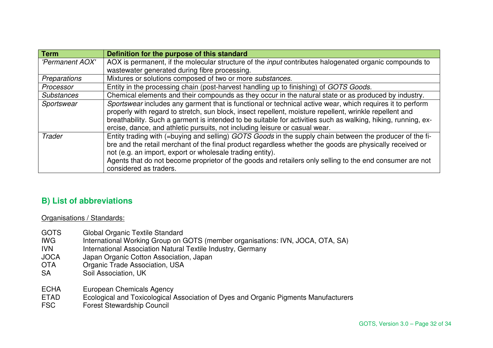| <b>Term</b>       | Definition for the purpose of this standard                                                                   |
|-------------------|---------------------------------------------------------------------------------------------------------------|
| 'Permanent AOX'   | AOX is permanent, if the molecular structure of the <i>input</i> contributes halogenated organic compounds to |
|                   | wastewater generated during fibre processing.                                                                 |
| Preparations      | Mixtures or solutions composed of two or more substances.                                                     |
| Processor         | Entity in the processing chain (post-harvest handling up to finishing) of GOTS Goods.                         |
| <b>Substances</b> | Chemical elements and their compounds as they occur in the natural state or as produced by industry.          |
| Sportswear        | Sportswear includes any garment that is functional or technical active wear, which requires it to perform     |
|                   | properly with regard to stretch, sun block, insect repellent, moisture repellent, wrinkle repellent and       |
|                   | breathability. Such a garment is intended to be suitable for activities such as walking, hiking, running, ex- |
|                   | ercise, dance, and athletic pursuits, not including leisure or casual wear.                                   |
| <b>Trader</b>     | Entity trading with (=buying and selling) GOTS Goods in the supply chain between the producer of the fi-      |
|                   | bre and the retail merchant of the final product regardless whether the goods are physically received or      |
|                   | not (e.g. an import, export or wholesale trading entity).                                                     |
|                   | Agents that do not become proprietor of the goods and retailers only selling to the end consumer are not      |
|                   | considered as traders.                                                                                        |

# **B) List of abbreviations**

## Organisations / Standards:

- GOTS Global Organic Textile Standard<br>IWG International Working Group on (
- IWG International Working Group on GOTS (member organisations: IVN, JOCA, OTA, SA)
- IVN International Association Natural Textile Industry, Germany
- JOCA Japan Organic Cotton Association, Japan<br>OTA Organic Trade Association, USA
- Organic Trade Association, USA
- SA Soil Association, UK
- ECHA European Chemicals Agency
- ETAD Ecological and Toxicological Association of Dyes and Organic Pigments Manufacturers
- FSC Forest Stewardship Council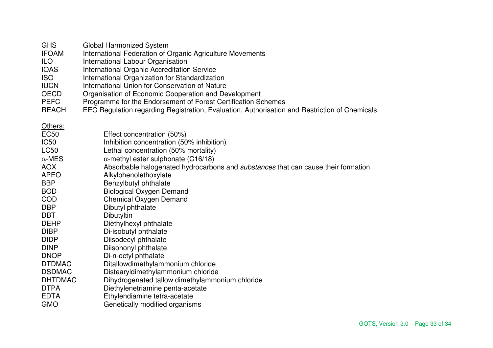| <b>GHS</b> | Global Harmonized System |
|------------|--------------------------|
|------------|--------------------------|

- IFOAM International Federation of Organic Agriculture Movements
- **ILO** International Labour Organisation<br>IOAS International Organic Accreditation
- IOAS International Organic Accreditation Service
- ISO International Organization for Standardization
- IUCN International Union for Conservation of Nature
- OECD Organisation of Economic Cooperation and Development
- PEFC Programme for the Endorsement of Forest Certification Schemes
- REACH EEC Regulation regarding Registration, Evaluation, Authorisation and Restriction of Chemicals

Others:

| <b>EC50</b>      | Effect concentration (50%)                                                                |
|------------------|-------------------------------------------------------------------------------------------|
| IC <sub>50</sub> | Inhibition concentration (50% inhibition)                                                 |
| <b>LC50</b>      | Lethal concentration (50% mortality)                                                      |
| $\alpha$ -MES    | $\alpha$ -methyl ester sulphonate (C16/18)                                                |
| <b>AOX</b>       | Absorbable halogenated hydrocarbons and <i>substances</i> that can cause their formation. |
| <b>APEO</b>      | Alkylphenolethoxylate                                                                     |
| <b>BBP</b>       | Benzylbutyl phthalate                                                                     |
| <b>BOD</b>       | <b>Biological Oxygen Demand</b>                                                           |
| <b>COD</b>       | Chemical Oxygen Demand                                                                    |
| <b>DBP</b>       | Dibutyl phthalate                                                                         |
| <b>DBT</b>       | Dibutyltin                                                                                |
| <b>DEHP</b>      | Diethylhexyl phthalate                                                                    |
| <b>DIBP</b>      | Di-isobutyl phthalate                                                                     |
| <b>DIDP</b>      | Diisodecyl phthalate                                                                      |
| <b>DINP</b>      | Diisononyl phthalate                                                                      |
| <b>DNOP</b>      | Di-n-octyl phthalate                                                                      |
| <b>DTDMAC</b>    | Ditallowdimethylammonium chloride                                                         |
| <b>DSDMAC</b>    | Distearyldimethylammonium chloride                                                        |
| <b>DHTDMAC</b>   | Dihydrogenated tallow dimethylammonium chloride                                           |
| <b>DTPA</b>      | Diethylenetriamine penta-acetate                                                          |
| <b>EDTA</b>      | Ethylendiamine tetra-acetate                                                              |
| <b>GMO</b>       | Genetically modified organisms                                                            |
|                  |                                                                                           |